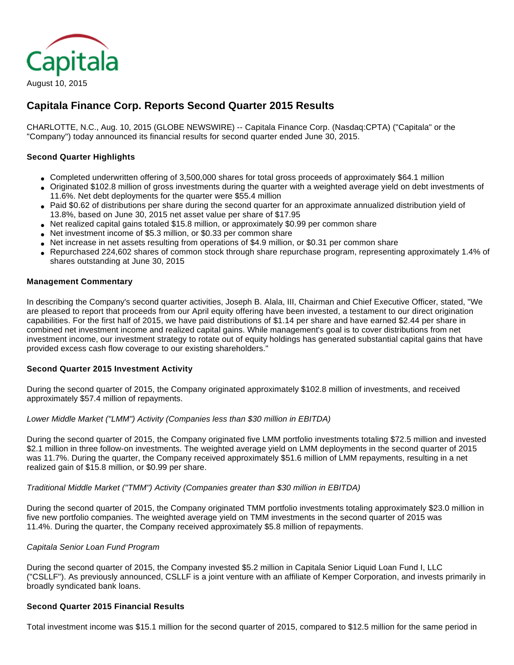

# August 10, 2015

# **Capitala Finance Corp. Reports Second Quarter 2015 Results**

CHARLOTTE, N.C., Aug. 10, 2015 (GLOBE NEWSWIRE) -- Capitala Finance Corp. (Nasdaq:CPTA) ("Capitala" or the "Company") today announced its financial results for second quarter ended June 30, 2015.

## **Second Quarter Highlights**

- Completed underwritten offering of 3,500,000 shares for total gross proceeds of approximately \$64.1 million
- Originated \$102.8 million of gross investments during the quarter with a weighted average yield on debt investments of 11.6%. Net debt deployments for the quarter were \$55.4 million
- Paid \$0.62 of distributions per share during the second quarter for an approximate annualized distribution yield of 13.8%, based on June 30, 2015 net asset value per share of \$17.95
- Net realized capital gains totaled \$15.8 million, or approximately \$0.99 per common share
- Net investment income of \$5.3 million, or \$0.33 per common share
- Net increase in net assets resulting from operations of \$4.9 million, or \$0.31 per common share
- Repurchased 224,602 shares of common stock through share repurchase program, representing approximately 1.4% of shares outstanding at June 30, 2015

## **Management Commentary**

In describing the Company's second quarter activities, Joseph B. Alala, III, Chairman and Chief Executive Officer, stated, "We are pleased to report that proceeds from our April equity offering have been invested, a testament to our direct origination capabilities. For the first half of 2015, we have paid distributions of \$1.14 per share and have earned \$2.44 per share in combined net investment income and realized capital gains. While management's goal is to cover distributions from net investment income, our investment strategy to rotate out of equity holdings has generated substantial capital gains that have provided excess cash flow coverage to our existing shareholders."

## **Second Quarter 2015 Investment Activity**

During the second quarter of 2015, the Company originated approximately \$102.8 million of investments, and received approximately \$57.4 million of repayments.

Lower Middle Market ("LMM") Activity (Companies less than \$30 million in EBITDA)

During the second quarter of 2015, the Company originated five LMM portfolio investments totaling \$72.5 million and invested \$2.1 million in three follow-on investments. The weighted average yield on LMM deployments in the second quarter of 2015 was 11.7%. During the quarter, the Company received approximately \$51.6 million of LMM repayments, resulting in a net realized gain of \$15.8 million, or \$0.99 per share.

## Traditional Middle Market ("TMM") Activity (Companies greater than \$30 million in EBITDA)

During the second quarter of 2015, the Company originated TMM portfolio investments totaling approximately \$23.0 million in five new portfolio companies. The weighted average yield on TMM investments in the second quarter of 2015 was 11.4%. During the quarter, the Company received approximately \$5.8 million of repayments.

## Capitala Senior Loan Fund Program

During the second quarter of 2015, the Company invested \$5.2 million in Capitala Senior Liquid Loan Fund I, LLC ("CSLLF"). As previously announced, CSLLF is a joint venture with an affiliate of Kemper Corporation, and invests primarily in broadly syndicated bank loans.

## **Second Quarter 2015 Financial Results**

Total investment income was \$15.1 million for the second quarter of 2015, compared to \$12.5 million for the same period in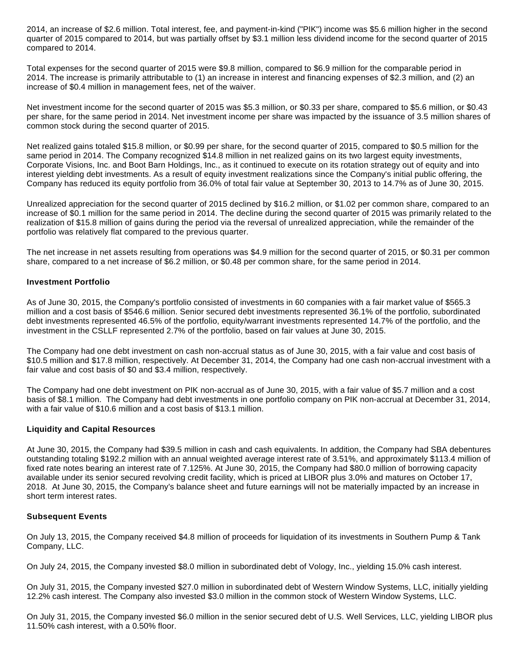2014, an increase of \$2.6 million. Total interest, fee, and payment-in-kind ("PIK") income was \$5.6 million higher in the second quarter of 2015 compared to 2014, but was partially offset by \$3.1 million less dividend income for the second quarter of 2015 compared to 2014.

Total expenses for the second quarter of 2015 were \$9.8 million, compared to \$6.9 million for the comparable period in 2014. The increase is primarily attributable to (1) an increase in interest and financing expenses of \$2.3 million, and (2) an increase of \$0.4 million in management fees, net of the waiver.

Net investment income for the second quarter of 2015 was \$5.3 million, or \$0.33 per share, compared to \$5.6 million, or \$0.43 per share, for the same period in 2014. Net investment income per share was impacted by the issuance of 3.5 million shares of common stock during the second quarter of 2015.

Net realized gains totaled \$15.8 million, or \$0.99 per share, for the second quarter of 2015, compared to \$0.5 million for the same period in 2014. The Company recognized \$14.8 million in net realized gains on its two largest equity investments, Corporate Visions, Inc. and Boot Barn Holdings, Inc., as it continued to execute on its rotation strategy out of equity and into interest yielding debt investments. As a result of equity investment realizations since the Company's initial public offering, the Company has reduced its equity portfolio from 36.0% of total fair value at September 30, 2013 to 14.7% as of June 30, 2015.

Unrealized appreciation for the second quarter of 2015 declined by \$16.2 million, or \$1.02 per common share, compared to an increase of \$0.1 million for the same period in 2014. The decline during the second quarter of 2015 was primarily related to the realization of \$15.8 million of gains during the period via the reversal of unrealized appreciation, while the remainder of the portfolio was relatively flat compared to the previous quarter.

The net increase in net assets resulting from operations was \$4.9 million for the second quarter of 2015, or \$0.31 per common share, compared to a net increase of \$6.2 million, or \$0.48 per common share, for the same period in 2014.

## **Investment Portfolio**

As of June 30, 2015, the Company's portfolio consisted of investments in 60 companies with a fair market value of \$565.3 million and a cost basis of \$546.6 million. Senior secured debt investments represented 36.1% of the portfolio, subordinated debt investments represented 46.5% of the portfolio, equity/warrant investments represented 14.7% of the portfolio, and the investment in the CSLLF represented 2.7% of the portfolio, based on fair values at June 30, 2015.

The Company had one debt investment on cash non-accrual status as of June 30, 2015, with a fair value and cost basis of \$10.5 million and \$17.8 million, respectively. At December 31, 2014, the Company had one cash non-accrual investment with a fair value and cost basis of \$0 and \$3.4 million, respectively.

The Company had one debt investment on PIK non-accrual as of June 30, 2015, with a fair value of \$5.7 million and a cost basis of \$8.1 million. The Company had debt investments in one portfolio company on PIK non-accrual at December 31, 2014, with a fair value of \$10.6 million and a cost basis of \$13.1 million.

## **Liquidity and Capital Resources**

At June 30, 2015, the Company had \$39.5 million in cash and cash equivalents. In addition, the Company had SBA debentures outstanding totaling \$192.2 million with an annual weighted average interest rate of 3.51%, and approximately \$113.4 million of fixed rate notes bearing an interest rate of 7.125%. At June 30, 2015, the Company had \$80.0 million of borrowing capacity available under its senior secured revolving credit facility, which is priced at LIBOR plus 3.0% and matures on October 17, 2018. At June 30, 2015, the Company's balance sheet and future earnings will not be materially impacted by an increase in short term interest rates.

#### **Subsequent Events**

On July 13, 2015, the Company received \$4.8 million of proceeds for liquidation of its investments in Southern Pump & Tank Company, LLC.

On July 24, 2015, the Company invested \$8.0 million in subordinated debt of Vology, Inc., yielding 15.0% cash interest.

On July 31, 2015, the Company invested \$27.0 million in subordinated debt of Western Window Systems, LLC, initially yielding 12.2% cash interest. The Company also invested \$3.0 million in the common stock of Western Window Systems, LLC.

On July 31, 2015, the Company invested \$6.0 million in the senior secured debt of U.S. Well Services, LLC, yielding LIBOR plus 11.50% cash interest, with a 0.50% floor.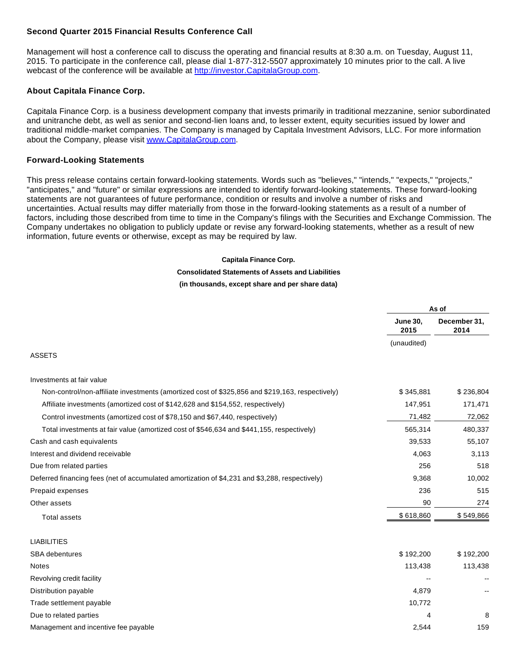## **Second Quarter 2015 Financial Results Conference Call**

Management will host a conference call to discuss the operating and financial results at 8:30 a.m. on Tuesday, August 11, 2015. To participate in the conference call, please dial 1-877-312-5507 approximately 10 minutes prior to the call. A live webcast of the conference will be available at [http://investor.CapitalaGroup.com.](http://www.globenewswire.com/newsroom/ctr?d=10145285&l=32&a=http%3A%2F%2Finvestor.CapitalaGroup.com&u=http%3A%2F%2Finvestor.capitalagroup.com%2F)

## **About Capitala Finance Corp.**

Capitala Finance Corp. is a business development company that invests primarily in traditional mezzanine, senior subordinated and unitranche debt, as well as senior and second-lien loans and, to lesser extent, equity securities issued by lower and traditional middle-market companies. The Company is managed by Capitala Investment Advisors, LLC. For more information about the Company, please visit [www.CapitalaGroup.com](http://www.globenewswire.com/newsroom/ctr?d=10145285&l=34&a=www.CapitalaGroup.com&u=http%3A%2F%2Fwww.capitalagroup.com%2F).

## **Forward-Looking Statements**

This press release contains certain forward-looking statements. Words such as "believes," "intends," "expects," "projects," "anticipates," and "future" or similar expressions are intended to identify forward-looking statements. These forward-looking statements are not guarantees of future performance, condition or results and involve a number of risks and uncertainties. Actual results may differ materially from those in the forward-looking statements as a result of a number of factors, including those described from time to time in the Company's filings with the Securities and Exchange Commission. The Company undertakes no obligation to publicly update or revise any forward-looking statements, whether as a result of new information, future events or otherwise, except as may be required by law.

#### **Capitala Finance Corp.**

#### **Consolidated Statements of Assets and Liabilities**

#### **(in thousands, except share and per share data)**

|                                                                                                 | As of                   |                      |
|-------------------------------------------------------------------------------------------------|-------------------------|----------------------|
|                                                                                                 | <b>June 30,</b><br>2015 | December 31,<br>2014 |
|                                                                                                 | (unaudited)             |                      |
| <b>ASSETS</b>                                                                                   |                         |                      |
| Investments at fair value                                                                       |                         |                      |
| Non-control/non-affiliate investments (amortized cost of \$325,856 and \$219,163, respectively) | \$345,881               | \$236,804            |
| Affiliate investments (amortized cost of \$142,628 and \$154,552, respectively)                 | 147,951                 | 171,471              |
| Control investments (amortized cost of \$78,150 and \$67,440, respectively)                     | 71,482                  | 72,062               |
| Total investments at fair value (amortized cost of \$546,634 and \$441,155, respectively)       | 565,314                 | 480,337              |
| Cash and cash equivalents                                                                       | 39,533                  | 55,107               |
| Interest and dividend receivable                                                                | 4,063                   | 3,113                |
| Due from related parties                                                                        | 256                     | 518                  |
| Deferred financing fees (net of accumulated amortization of \$4,231 and \$3,288, respectively)  | 9,368                   | 10,002               |
| Prepaid expenses                                                                                | 236                     | 515                  |
| Other assets                                                                                    | 90                      | 274                  |
| <b>Total assets</b>                                                                             | \$618,860               | \$549,866            |
| <b>LIABILITIES</b>                                                                              |                         |                      |
| <b>SBA</b> debentures                                                                           | \$192,200               | \$192,200            |
| <b>Notes</b>                                                                                    | 113,438                 | 113,438              |
| Revolving credit facility                                                                       |                         |                      |
| Distribution payable                                                                            | 4,879                   |                      |
| Trade settlement payable                                                                        | 10,772                  |                      |
| Due to related parties                                                                          | 4                       | 8                    |
| Management and incentive fee payable                                                            | 2,544                   | 159                  |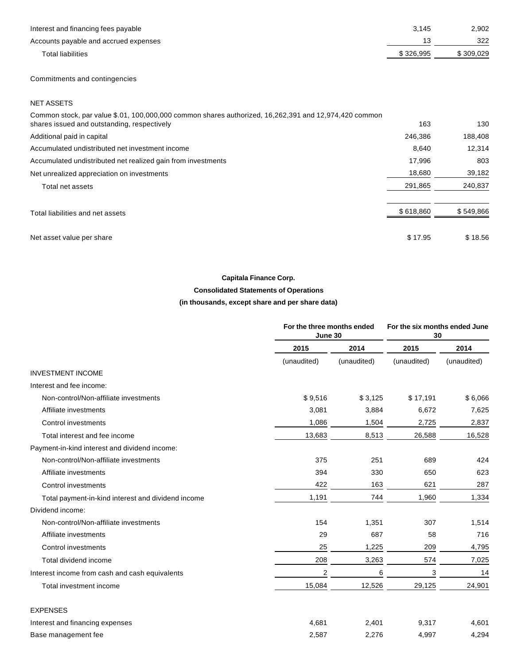| Interest and financing fees payable   | 3.145     | 2,902     |
|---------------------------------------|-----------|-----------|
| Accounts payable and accrued expenses | 13        | 322       |
| Total liabilities                     | \$326.995 | \$309,029 |

Commitments and contingencies

NET ASSETS

| Common stock, par value \$.01, 100,000,000 common shares authorized, 16,262,391 and 12,974,420 common |           |           |
|-------------------------------------------------------------------------------------------------------|-----------|-----------|
| shares issued and outstanding, respectively                                                           | 163       | 130       |
| Additional paid in capital                                                                            | 246.386   | 188.408   |
| Accumulated undistributed net investment income                                                       | 8,640     | 12.314    |
| Accumulated undistributed net realized gain from investments                                          | 17.996    | 803       |
| Net unrealized appreciation on investments                                                            | 18,680    | 39,182    |
| Total net assets                                                                                      | 291,865   | 240,837   |
| Total liabilities and net assets                                                                      | \$618,860 | \$549,866 |
| Net asset value per share                                                                             | \$17.95   | \$18.56   |

## **Capitala Finance Corp.**

## **Consolidated Statements of Operations**

## **(in thousands, except share and per share data)**

|                                                    | For the three months ended<br>June 30 |             | For the six months ended June<br>30 |             |
|----------------------------------------------------|---------------------------------------|-------------|-------------------------------------|-------------|
|                                                    | 2015                                  | 2014        | 2015                                | 2014        |
|                                                    | (unaudited)                           | (unaudited) | (unaudited)                         | (unaudited) |
| <b>INVESTMENT INCOME</b>                           |                                       |             |                                     |             |
| Interest and fee income:                           |                                       |             |                                     |             |
| Non-control/Non-affiliate investments              | \$9,516                               | \$3,125     | \$17,191                            | \$6,066     |
| Affiliate investments                              | 3,081                                 | 3,884       | 6,672                               | 7,625       |
| Control investments                                | 1,086                                 | 1,504       | 2,725                               | 2,837       |
| Total interest and fee income                      | 13,683                                | 8,513       | 26,588                              | 16,528      |
| Payment-in-kind interest and dividend income:      |                                       |             |                                     |             |
| Non-control/Non-affiliate investments              | 375                                   | 251         | 689                                 | 424         |
| Affiliate investments                              | 394                                   | 330         | 650                                 | 623         |
| Control investments                                | 422                                   | 163         | 621                                 | 287         |
| Total payment-in-kind interest and dividend income | 1,191                                 | 744         | 1,960                               | 1,334       |
| Dividend income:                                   |                                       |             |                                     |             |
| Non-control/Non-affiliate investments              | 154                                   | 1,351       | 307                                 | 1,514       |
| Affiliate investments                              | 29                                    | 687         | 58                                  | 716         |
| Control investments                                | 25                                    | 1,225       | 209                                 | 4,795       |
| Total dividend income                              | 208                                   | 3,263       | 574                                 | 7,025       |
| Interest income from cash and cash equivalents     | $\overline{2}$                        | 6           | 3                                   | 14          |
| Total investment income                            | 15,084                                | 12,526      | 29,125                              | 24,901      |
| <b>EXPENSES</b>                                    |                                       |             |                                     |             |
| Interest and financing expenses                    | 4,681                                 | 2,401       | 9,317                               | 4,601       |
| Base management fee                                | 2,587                                 | 2.276       | 4.997                               | 4,294       |